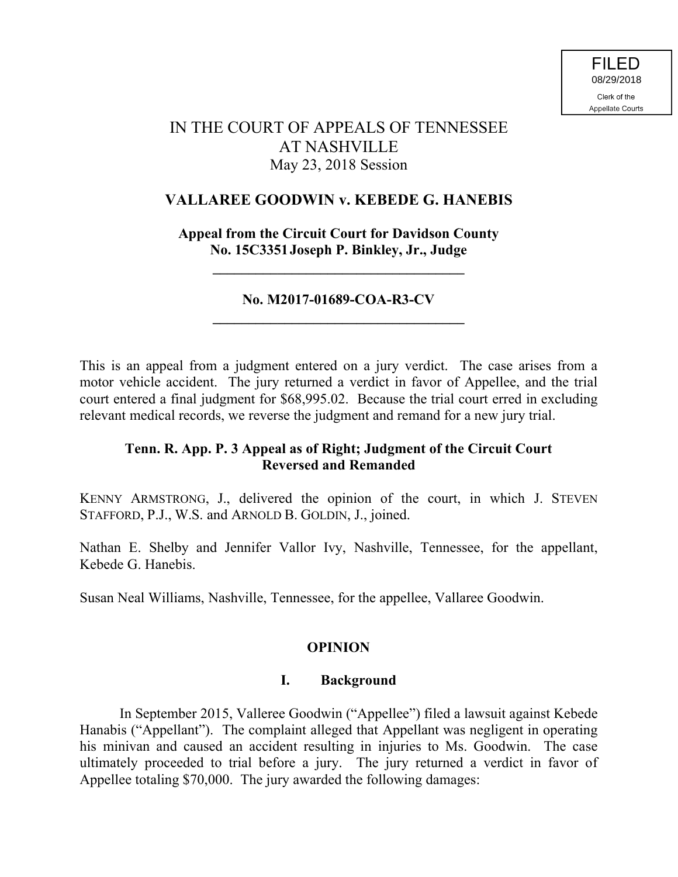**FILED** 08/29/2018Clerk of the **Appellate Courts** 

# IN THE COURT OF APPEALS OF TENNESSEE AT NASHVILLE May 23, 2018 Session

### **VALLAREE GOODWIN v. KEBEDE G. HANEBIS**

**Appeal from the Circuit Court for Davidson County No. 15C3351Joseph P. Binkley, Jr., Judge**

**\_\_\_\_\_\_\_\_\_\_\_\_\_\_\_\_\_\_\_\_\_\_\_\_\_\_\_\_\_\_\_\_\_\_\_**

### **No. M2017-01689-COA-R3-CV \_\_\_\_\_\_\_\_\_\_\_\_\_\_\_\_\_\_\_\_\_\_\_\_\_\_\_\_\_\_\_\_\_\_\_**

This is an appeal from a judgment entered on a jury verdict. The case arises from a motor vehicle accident. The jury returned a verdict in favor of Appellee, and the trial court entered a final judgment for \$68,995.02. Because the trial court erred in excluding relevant medical records, we reverse the judgment and remand for a new jury trial.

### **Tenn. R. App. P. 3 Appeal as of Right; Judgment of the Circuit Court Reversed and Remanded**

KENNY ARMSTRONG, J., delivered the opinion of the court, in which J. STEVEN STAFFORD, P.J., W.S. and ARNOLD B. GOLDIN, J., joined.

Nathan E. Shelby and Jennifer Vallor Ivy, Nashville, Tennessee, for the appellant, Kebede G. Hanebis.

Susan Neal Williams, Nashville, Tennessee, for the appellee, Vallaree Goodwin.

#### **OPINION**

#### **I. Background**

In September 2015, Valleree Goodwin ("Appellee") filed a lawsuit against Kebede Hanabis ("Appellant"). The complaint alleged that Appellant was negligent in operating his minivan and caused an accident resulting in injuries to Ms. Goodwin. The case ultimately proceeded to trial before a jury. The jury returned a verdict in favor of Appellee totaling \$70,000. The jury awarded the following damages: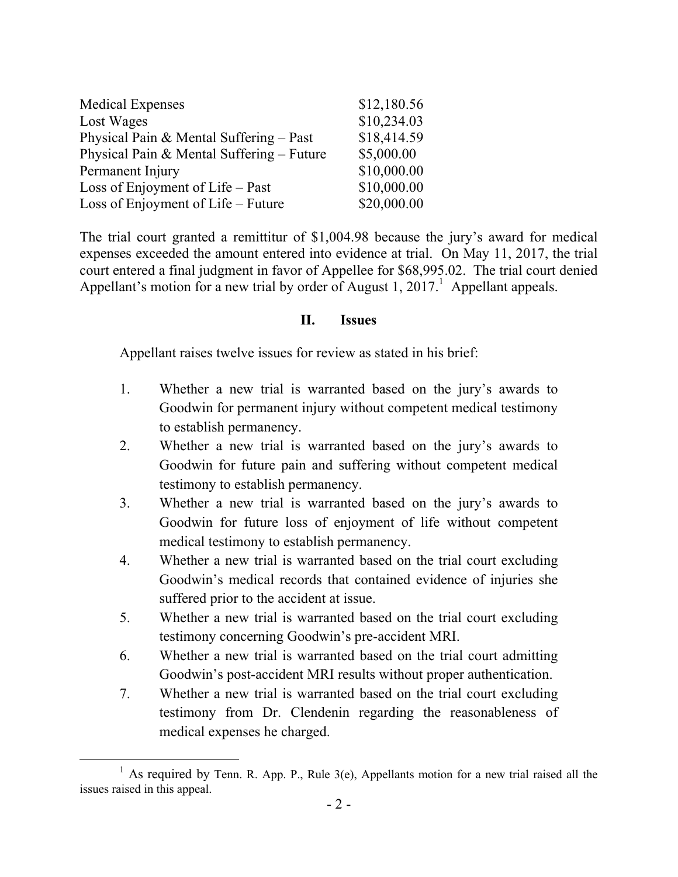| <b>Medical Expenses</b>                   | \$12,180.56 |
|-------------------------------------------|-------------|
| Lost Wages                                | \$10,234.03 |
| Physical Pain & Mental Suffering – Past   | \$18,414.59 |
| Physical Pain & Mental Suffering – Future | \$5,000.00  |
| Permanent Injury                          | \$10,000.00 |
| Loss of Enjoyment of Life – Past          | \$10,000.00 |
| Loss of Enjoyment of Life – Future        | \$20,000.00 |

The trial court granted a remittitur of \$1,004.98 because the jury's award for medical expenses exceeded the amount entered into evidence at trial. On May 11, 2017, the trial court entered a final judgment in favor of Appellee for \$68,995.02. The trial court denied Appellant's motion for a new trial by order of August 1, 2017.<sup>1</sup> Appellant appeals.

## **II. Issues**

Appellant raises twelve issues for review as stated in his brief:

- 1. Whether a new trial is warranted based on the jury's awards to Goodwin for permanent injury without competent medical testimony to establish permanency.
- 2. Whether a new trial is warranted based on the jury's awards to Goodwin for future pain and suffering without competent medical testimony to establish permanency.
- 3. Whether a new trial is warranted based on the jury's awards to Goodwin for future loss of enjoyment of life without competent medical testimony to establish permanency.
- 4. Whether a new trial is warranted based on the trial court excluding Goodwin's medical records that contained evidence of injuries she suffered prior to the accident at issue.
- 5. Whether a new trial is warranted based on the trial court excluding testimony concerning Goodwin's pre-accident MRI.
- 6. Whether a new trial is warranted based on the trial court admitting Goodwin's post-accident MRI results without proper authentication.
- 7. Whether a new trial is warranted based on the trial court excluding testimony from Dr. Clendenin regarding the reasonableness of medical expenses he charged.

 $\overline{a}$ 

<sup>&</sup>lt;sup>1</sup> As required by Tenn. R. App. P., Rule  $3(e)$ , Appellants motion for a new trial raised all the issues raised in this appeal.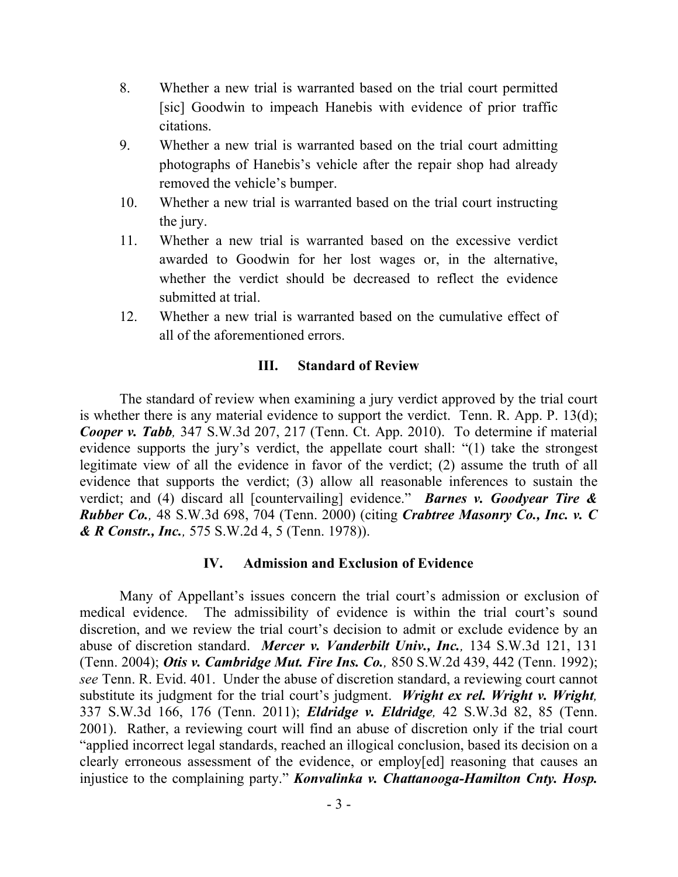- 8. Whether a new trial is warranted based on the trial court permitted [sic] Goodwin to impeach Hanebis with evidence of prior traffic citations.
- 9. Whether a new trial is warranted based on the trial court admitting photographs of Hanebis's vehicle after the repair shop had already removed the vehicle's bumper.
- 10. Whether a new trial is warranted based on the trial court instructing the jury.
- 11. Whether a new trial is warranted based on the excessive verdict awarded to Goodwin for her lost wages or, in the alternative, whether the verdict should be decreased to reflect the evidence submitted at trial.
- 12. Whether a new trial is warranted based on the cumulative effect of all of the aforementioned errors.

#### **III. Standard of Review**

The standard of review when examining a jury verdict approved by the trial court is whether there is any material evidence to support the verdict. Tenn. R. App. P. 13(d); *Cooper v. Tabb,* 347 S.W.3d 207, 217 (Tenn. Ct. App. 2010). To determine if material evidence supports the jury's verdict, the appellate court shall: "(1) take the strongest legitimate view of all the evidence in favor of the verdict; (2) assume the truth of all evidence that supports the verdict; (3) allow all reasonable inferences to sustain the verdict; and (4) discard all [countervailing] evidence." *Barnes v. Goodyear Tire & Rubber Co.,* 48 S.W.3d 698, 704 (Tenn. 2000) (citing *Crabtree Masonry Co., Inc. v. C & R Constr., Inc.,* 575 S.W.2d 4, 5 (Tenn. 1978)).

#### **IV. Admission and Exclusion of Evidence**

Many of Appellant's issues concern the trial court's admission or exclusion of medical evidence. The admissibility of evidence is within the trial court's sound discretion, and we review the trial court's decision to admit or exclude evidence by an abuse of discretion standard. *Mercer v. Vanderbilt Univ., Inc.,* 134 S.W.3d 121, 131 (Tenn. 2004); *Otis v. Cambridge Mut. Fire Ins. Co.,* 850 S.W.2d 439, 442 (Tenn. 1992); *see* Tenn. R. Evid. 401. Under the abuse of discretion standard, a reviewing court cannot substitute its judgment for the trial court's judgment. *Wright ex rel. Wright v. Wright,*  337 S.W.3d 166, 176 (Tenn. 2011); *Eldridge v. Eldridge,* 42 S.W.3d 82, 85 (Tenn. 2001). Rather, a reviewing court will find an abuse of discretion only if the trial court "applied incorrect legal standards, reached an illogical conclusion, based its decision on a clearly erroneous assessment of the evidence, or employ[ed] reasoning that causes an injustice to the complaining party." *Konvalinka v. Chattanooga-Hamilton Cnty. Hosp.*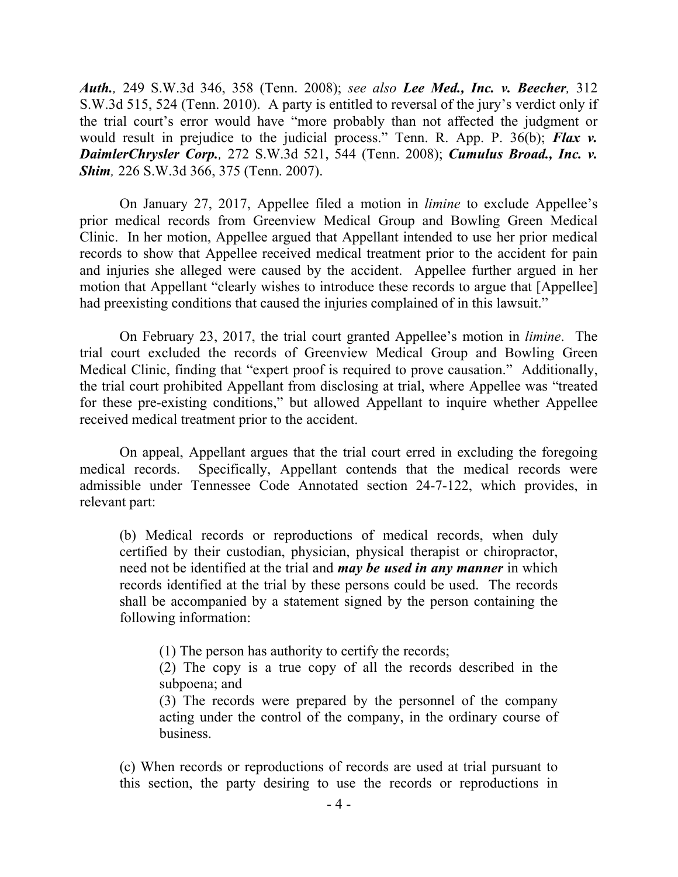*Auth.,* 249 S.W.3d 346, 358 (Tenn. 2008); *see also Lee Med., Inc. v. Beecher,* 312 S.W.3d 515, 524 (Tenn. 2010). A party is entitled to reversal of the jury's verdict only if the trial court's error would have "more probably than not affected the judgment or would result in prejudice to the judicial process." Tenn. R. App. P. 36(b); *Flax v. DaimlerChrysler Corp.,* 272 S.W.3d 521, 544 (Tenn. 2008); *Cumulus Broad., Inc. v. Shim,* 226 S.W.3d 366, 375 (Tenn. 2007).

On January 27, 2017, Appellee filed a motion in *limine* to exclude Appellee's prior medical records from Greenview Medical Group and Bowling Green Medical Clinic. In her motion, Appellee argued that Appellant intended to use her prior medical records to show that Appellee received medical treatment prior to the accident for pain and injuries she alleged were caused by the accident. Appellee further argued in her motion that Appellant "clearly wishes to introduce these records to argue that [Appellee] had preexisting conditions that caused the injuries complained of in this lawsuit."

On February 23, 2017, the trial court granted Appellee's motion in *limine*. The trial court excluded the records of Greenview Medical Group and Bowling Green Medical Clinic, finding that "expert proof is required to prove causation." Additionally, the trial court prohibited Appellant from disclosing at trial, where Appellee was "treated for these pre-existing conditions," but allowed Appellant to inquire whether Appellee received medical treatment prior to the accident.

On appeal, Appellant argues that the trial court erred in excluding the foregoing medical records. Specifically, Appellant contends that the medical records were admissible under Tennessee Code Annotated section 24-7-122, which provides, in relevant part:

(b) Medical records or reproductions of medical records, when duly certified by their custodian, physician, physical therapist or chiropractor, need not be identified at the trial and *may be used in any manner* in which records identified at the trial by these persons could be used. The records shall be accompanied by a statement signed by the person containing the following information:

(1) The person has authority to certify the records;

(2) The copy is a true copy of all the records described in the subpoena; and

(3) The records were prepared by the personnel of the company acting under the control of the company, in the ordinary course of business.

(c) When records or reproductions of records are used at trial pursuant to this section, the party desiring to use the records or reproductions in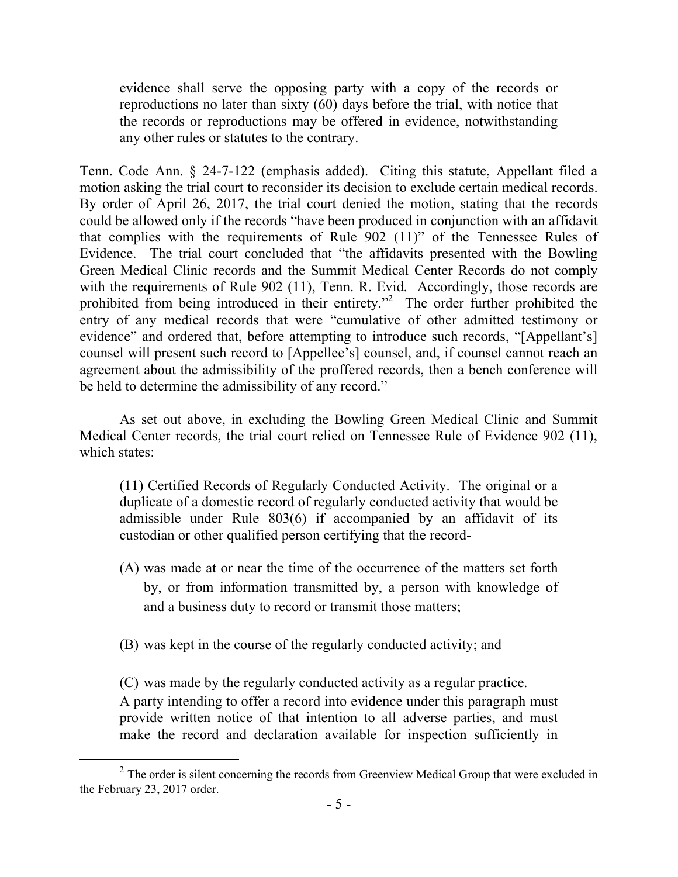evidence shall serve the opposing party with a copy of the records or reproductions no later than sixty (60) days before the trial, with notice that the records or reproductions may be offered in evidence, notwithstanding any other rules or statutes to the contrary.

Tenn. Code Ann. § 24-7-122 (emphasis added). Citing this statute, Appellant filed a motion asking the trial court to reconsider its decision to exclude certain medical records. By order of April 26, 2017, the trial court denied the motion, stating that the records could be allowed only if the records "have been produced in conjunction with an affidavit that complies with the requirements of Rule 902 (11)" of the Tennessee Rules of Evidence. The trial court concluded that "the affidavits presented with the Bowling Green Medical Clinic records and the Summit Medical Center Records do not comply with the requirements of Rule 902 (11), Tenn. R. Evid. Accordingly, those records are prohibited from being introduced in their entirety."<sup>2</sup> The order further prohibited the entry of any medical records that were "cumulative of other admitted testimony or evidence" and ordered that, before attempting to introduce such records, "[Appellant's] counsel will present such record to [Appellee's] counsel, and, if counsel cannot reach an agreement about the admissibility of the proffered records, then a bench conference will be held to determine the admissibility of any record."

As set out above, in excluding the Bowling Green Medical Clinic and Summit Medical Center records, the trial court relied on Tennessee Rule of Evidence 902 (11), which states:

(11) Certified Records of Regularly Conducted Activity.The original or a duplicate of a domestic record of regularly conducted activity that would be admissible under Rule 803(6) if accompanied by an affidavit of its custodian or other qualified person certifying that the record-

- (A) was made at or near the time of the occurrence of the matters set forth by, or from information transmitted by, a person with knowledge of and a business duty to record or transmit those matters;
- (B) was kept in the course of the regularly conducted activity; and

 $\overline{a}$ 

(C) was made by the regularly conducted activity as a regular practice. A party intending to offer a record into evidence under this paragraph must provide written notice of that intention to all adverse parties, and must make the record and declaration available for inspection sufficiently in

 $2^2$  The order is silent concerning the records from Greenview Medical Group that were excluded in the February 23, 2017 order.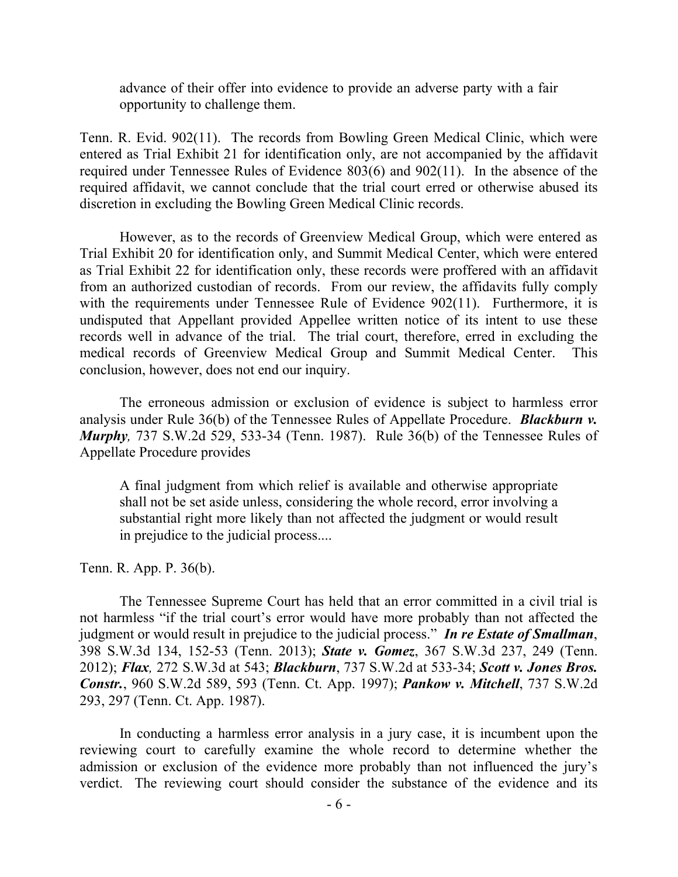advance of their offer into evidence to provide an adverse party with a fair opportunity to challenge them.

Tenn. R. Evid. 902(11). The records from Bowling Green Medical Clinic, which were entered as Trial Exhibit 21 for identification only, are not accompanied by the affidavit required under Tennessee Rules of Evidence 803(6) and 902(11). In the absence of the required affidavit, we cannot conclude that the trial court erred or otherwise abused its discretion in excluding the Bowling Green Medical Clinic records.

However, as to the records of Greenview Medical Group, which were entered as Trial Exhibit 20 for identification only, and Summit Medical Center, which were entered as Trial Exhibit 22 for identification only, these records were proffered with an affidavit from an authorized custodian of records. From our review, the affidavits fully comply with the requirements under Tennessee Rule of Evidence 902(11). Furthermore, it is undisputed that Appellant provided Appellee written notice of its intent to use these records well in advance of the trial. The trial court, therefore, erred in excluding the medical records of Greenview Medical Group and Summit Medical Center. This conclusion, however, does not end our inquiry.

The erroneous admission or exclusion of evidence is subject to harmless error analysis under Rule 36(b) of the Tennessee Rules of Appellate Procedure. *Blackburn v. Murphy,* 737 S.W.2d 529, 533-34 (Tenn. 1987). Rule 36(b) of the Tennessee Rules of Appellate Procedure provides

A final judgment from which relief is available and otherwise appropriate shall not be set aside unless, considering the whole record, error involving a substantial right more likely than not affected the judgment or would result in prejudice to the judicial process....

Tenn. R. App. P. 36(b).

The Tennessee Supreme Court has held that an error committed in a civil trial is not harmless "if the trial court's error would have more probably than not affected the judgment or would result in prejudice to the judicial process." *In re Estate of Smallman*, 398 S.W.3d 134, 152-53 (Tenn. 2013); *State v. Gomez*, 367 S.W.3d 237, 249 (Tenn. 2012); *Flax,* 272 S.W.3d at 543; *Blackburn*, 737 S.W.2d at 533-34; *Scott v. Jones Bros. Constr.*, 960 S.W.2d 589, 593 (Tenn. Ct. App. 1997); *Pankow v. Mitchell*, 737 S.W.2d 293, 297 (Tenn. Ct. App. 1987).

In conducting a harmless error analysis in a jury case, it is incumbent upon the reviewing court to carefully examine the whole record to determine whether the admission or exclusion of the evidence more probably than not influenced the jury's verdict. The reviewing court should consider the substance of the evidence and its